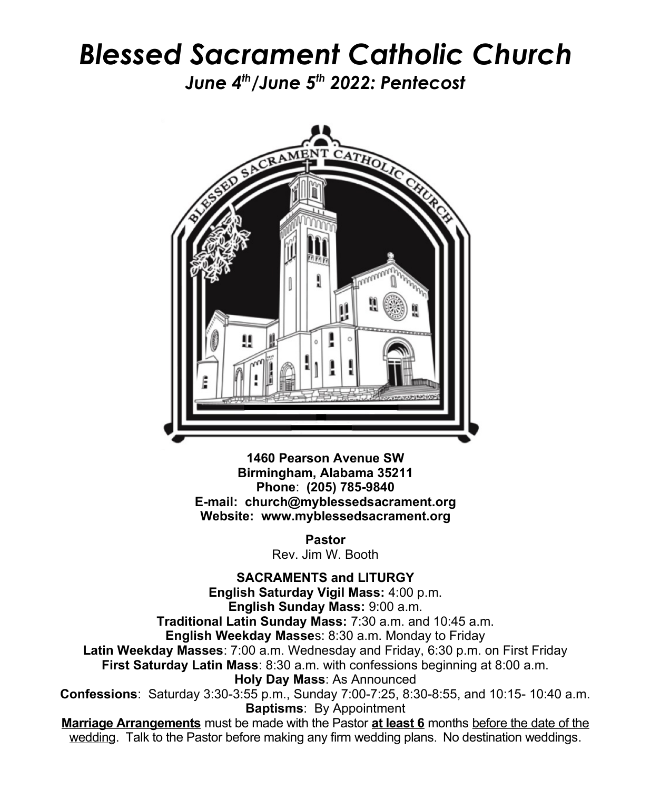## *Blessed Sacrament Catholic Church*

*June 4th/June 5th 2022: Pentecost*



**1460 Pearson Avenue SW Birmingham, Alabama 35211 Phone**: **(205) 785-9840 E-mail: church@myblessedsacrament.org Website: www.myblessedsacrament.org**

> **Pastor** Rev. Jim W. Booth

**SACRAMENTS and LITURGY English Saturday Vigil Mass:** 4:00 p.m. **English Sunday Mass:** 9:00 a.m. **Traditional Latin Sunday Mass:** 7:30 a.m. and 10:45 a.m. **English Weekday Masse**s: 8:30 a.m. Monday to Friday **Latin Weekday Masses**: 7:00 a.m. Wednesday and Friday, 6:30 p.m. on First Friday **First Saturday Latin Mass**: 8:30 a.m. with confessions beginning at 8:00 a.m. **Holy Day Mass**: As Announced **Confessions**: Saturday 3:30-3:55 p.m., Sunday 7:00-7:25, 8:30-8:55, and 10:15- 10:40 a.m. **Baptisms**: By Appointment **Marriage Arrangements** must be made with the Pastor **at least 6** months before the date of the wedding. Talk to the Pastor before making any firm wedding plans. No destination weddings.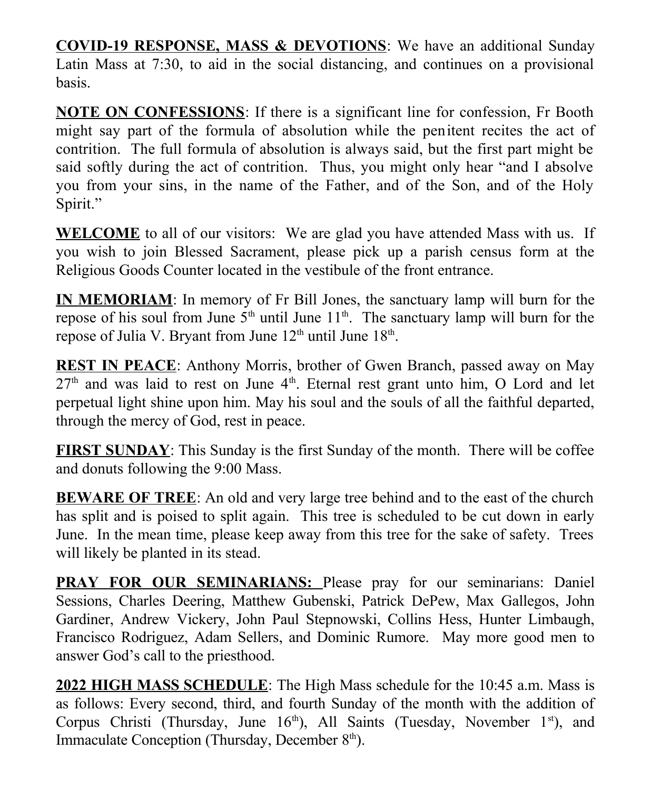**COVID-19 RESPONSE, MASS & DEVOTIONS**: We have an additional Sunday Latin Mass at 7:30, to aid in the social distancing, and continues on a provisional basis.

**NOTE ON CONFESSIONS**: If there is a significant line for confession, Fr Booth might say part of the formula of absolution while the penitent recites the act of contrition. The full formula of absolution is always said, but the first part might be said softly during the act of contrition. Thus, you might only hear "and I absolve you from your sins, in the name of the Father, and of the Son, and of the Holy Spirit."

**WELCOME** to all of our visitors: We are glad you have attended Mass with us. If you wish to join Blessed Sacrament, please pick up a parish census form at the Religious Goods Counter located in the vestibule of the front entrance.

**IN MEMORIAM**: In memory of Fr Bill Jones, the sanctuary lamp will burn for the repose of his soul from June  $5<sup>th</sup>$  until June  $11<sup>th</sup>$ . The sanctuary lamp will burn for the repose of Julia V. Bryant from June  $12<sup>th</sup>$  until June  $18<sup>th</sup>$ .

**REST IN PEACE**: Anthony Morris, brother of Gwen Branch, passed away on May  $27<sup>th</sup>$  and was laid to rest on June  $4<sup>th</sup>$ . Eternal rest grant unto him, O Lord and let perpetual light shine upon him. May his soul and the souls of all the faithful departed, through the mercy of God, rest in peace.

**FIRST SUNDAY**: This Sunday is the first Sunday of the month. There will be coffee and donuts following the 9:00 Mass.

**BEWARE OF TREE**: An old and very large tree behind and to the east of the church has split and is poised to split again. This tree is scheduled to be cut down in early June. In the mean time, please keep away from this tree for the sake of safety. Trees will likely be planted in its stead.

**PRAY FOR OUR SEMINARIANS:** Please pray for our seminarians: Daniel Sessions, Charles Deering, Matthew Gubenski, Patrick DePew, Max Gallegos, John Gardiner, Andrew Vickery, John Paul Stepnowski, Collins Hess, Hunter Limbaugh, Francisco Rodriguez, Adam Sellers, and Dominic Rumore. May more good men to answer God's call to the priesthood.

**2022 HIGH MASS SCHEDULE**: The High Mass schedule for the 10:45 a.m. Mass is as follows: Every second, third, and fourth Sunday of the month with the addition of Corpus Christi (Thursday, June  $16<sup>th</sup>$ ), All Saints (Tuesday, November  $1<sup>st</sup>$ ), and Immaculate Conception (Thursday, December 8<sup>th</sup>).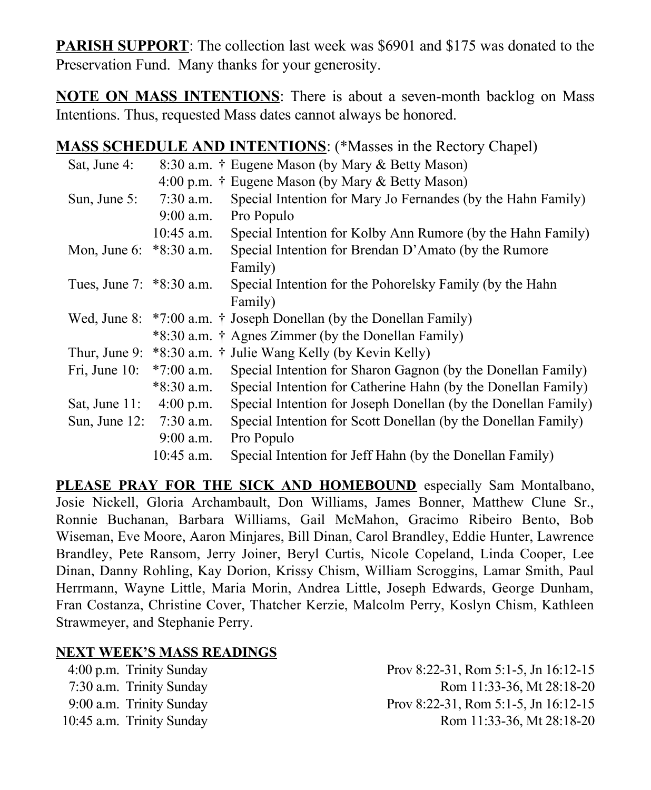**PARISH SUPPORT**: The collection last week was \$6901 and \$175 was donated to the Preservation Fund. Many thanks for your generosity.

**NOTE ON MASS INTENTIONS**: There is about a seven-month backlog on Mass Intentions. Thus, requested Mass dates cannot always be honored.

## **MASS SCHEDULE AND INTENTIONS**: (\*Masses in the Rectory Chapel)

|              | 8:30 a.m. † Eugene Mason (by Mary & Betty Mason)                                                |
|--------------|-------------------------------------------------------------------------------------------------|
|              | 4:00 p.m. † Eugene Mason (by Mary & Betty Mason)                                                |
| $7:30$ a.m.  | Special Intention for Mary Jo Fernandes (by the Hahn Family)                                    |
| $9:00$ a.m.  | Pro Populo                                                                                      |
| $10:45$ a.m. | Special Intention for Kolby Ann Rumore (by the Hahn Family)                                     |
|              | Special Intention for Brendan D'Amato (by the Rumore                                            |
|              | Family)                                                                                         |
|              | Special Intention for the Pohorelsky Family (by the Hahn                                        |
|              | Family)                                                                                         |
|              | Wed, June 8: $*7:00$ a.m. † Joseph Donellan (by the Donellan Family)                            |
|              | *8:30 a.m. † Agnes Zimmer (by the Donellan Family)                                              |
|              | Thur, June 9: *8:30 a.m. † Julie Wang Kelly (by Kevin Kelly)                                    |
| $*7:00$ a.m. | Special Intention for Sharon Gagnon (by the Donellan Family)                                    |
| $*8:30$ a.m. | Special Intention for Catherine Hahn (by the Donellan Family)                                   |
| $4:00$ p.m.  | Special Intention for Joseph Donellan (by the Donellan Family)                                  |
|              | Special Intention for Scott Donellan (by the Donellan Family)                                   |
| $9:00$ a.m.  | Pro Populo                                                                                      |
| $10:45$ a.m. | Special Intention for Jeff Hahn (by the Donellan Family)                                        |
|              | Mon, June 6: *8:30 a.m.<br>Tues, June 7: *8:30 a.m.<br>Sat, June 11:<br>Sun, June 12: 7:30 a.m. |

**PLEASE PRAY FOR THE SICK AND HOMEBOUND** especially Sam Montalbano, Josie Nickell, Gloria Archambault, Don Williams, James Bonner, Matthew Clune Sr., Ronnie Buchanan, Barbara Williams, Gail McMahon, Gracimo Ribeiro Bento, Bob Wiseman, Eve Moore, Aaron Minjares, Bill Dinan, Carol Brandley, Eddie Hunter, Lawrence Brandley, Pete Ransom, Jerry Joiner, Beryl Curtis, Nicole Copeland, Linda Cooper, Lee Dinan, Danny Rohling, Kay Dorion, Krissy Chism, William Scroggins, Lamar Smith, Paul Herrmann, Wayne Little, Maria Morin, Andrea Little, Joseph Edwards, George Dunham, Fran Costanza, Christine Cover, Thatcher Kerzie, Malcolm Perry, Koslyn Chism, Kathleen Strawmeyer, and Stephanie Perry.

## **NEXT WEEK'S MASS READINGS**

4:00 p.m. Trinity Sunday Prov 8:22-31, Rom 5:1-5, Jn 16:12-15 7:30 a.m. Trinity Sunday Rom 11:33-36, Mt 28:18-20 9:00 a.m. Trinity Sunday Prov 8:22-31, Rom 5:1-5, Jn 16:12-15 10:45 a.m. Trinity Sunday Rom 11:33-36, Mt 28:18-20